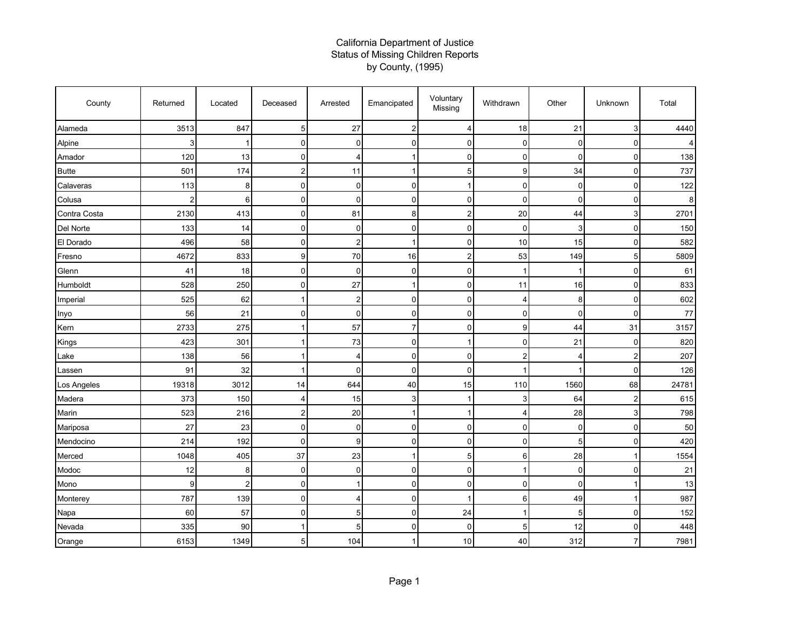## California Department of Justice Status of Missing Children Reports by County, (1995)

| County       | Returned       | Located                 | Deceased       | Arrested       | Emancipated    | Voluntary<br>Missing    | Withdrawn      | Other       | Unknown        | Total |
|--------------|----------------|-------------------------|----------------|----------------|----------------|-------------------------|----------------|-------------|----------------|-------|
| Alameda      | 3513           | 847                     | 5              | 27             | $\overline{2}$ | 4                       | 18             | 21          | 3              | 4440  |
| Alpine       | 3              | 1                       | 0              | 0              | $\mathbf 0$    | $\mathbf 0$             | 0              | $\mathbf 0$ | 0              |       |
| Amador       | 120            | 13                      | 0              | 4              |                | $\mathbf 0$             | $\mathbf 0$    | $\mathbf 0$ | 0              | 138   |
| <b>Butte</b> | 501            | 174                     | $\overline{c}$ | 11             |                | 5                       | 9              | 34          | 0              | 737   |
| Calaveras    | 113            | 8                       | 0              | 0              | $\mathbf 0$    | $\mathbf 1$             | $\mathbf 0$    | $\mathbf 0$ | 0              | 122   |
| Colusa       | $\overline{2}$ | 6                       | $\mathbf 0$    | 0              | $\mathbf 0$    | $\mathbf 0$             | 0              | $\mathbf 0$ | 0              | 8     |
| Contra Costa | 2130           | 413                     | 0              | 81             | 8              | $\overline{c}$          | 20             | 44          | 3              | 2701  |
| Del Norte    | 133            | 14                      | 0              | 0              | $\mathbf 0$    | $\mathbf 0$             | 0              | 3           | 0              | 150   |
| El Dorado    | 496            | 58                      | 0              | $\overline{2}$ |                | $\mathbf 0$             | 10             | 15          | 0              | 582   |
| Fresno       | 4672           | 833                     | 9              | 70             | 16             | $\overline{\mathbf{c}}$ | 53             | 149         | 5              | 5809  |
| Glenn        | 41             | 18                      | 0              | $\mathbf 0$    | $\mathbf 0$    | $\mathbf 0$             | 1              |             | 0              | 61    |
| Humboldt     | 528            | 250                     | $\mathbf 0$    | 27             |                | $\mathbf 0$             | 11             | 16          | 0              | 833   |
| Imperial     | 525            | 62                      | 1              | $\overline{2}$ | $\mathbf 0$    | $\mathbf 0$             | 4              | 8           | 0              | 602   |
| Inyo         | 56             | 21                      | $\Omega$       | $\Omega$       | $\Omega$       | $\mathbf{0}$            | $\Omega$       | $\Omega$    | $\mathbf 0$    | 77    |
| Kern         | 2733           | 275                     | 1              | 57             | $\overline{7}$ | $\mathbf 0$             | 9              | 44          | 31             | 3157  |
| Kings        | 423            | 301                     |                | 73             | $\mathbf 0$    | 1                       | 0              | 21          | 0              | 820   |
| Lake         | 138            | 56                      | 1              | 4              | $\mathbf 0$    | $\mathbf 0$             | $\overline{2}$ | 4           | $\overline{2}$ | 207   |
| Lassen       | 91             | 32                      | 1              | 0              | $\mathbf 0$    | $\mathbf{0}$            | 1              | 1           | 0              | 126   |
| Los Angeles  | 19318          | 3012                    | 14             | 644            | 40             | 15                      | 110            | 1560        | 68             | 24781 |
| Madera       | 373            | 150                     | 4              | 15             | 3              | $\mathbf{1}$            | 3              | 64          | $\overline{2}$ | 615   |
| Marin        | 523            | 216                     | $\overline{c}$ | 20             |                | $\mathbf{1}$            | $\overline{4}$ | 28          | 3              | 798   |
| Mariposa     | 27             | 23                      | $\mathbf 0$    | $\mathbf 0$    | $\mathbf 0$    | $\Omega$                | $\mathbf 0$    | $\mathbf 0$ | 0              | 50    |
| Mendocino    | 214            | 192                     | 0              | 9              | $\mathbf 0$    | 0                       | 0              | 5           | 0              | 420   |
| Merced       | 1048           | 405                     | 37             | 23             |                | 5                       | 6              | 28          | 1              | 1554  |
| Modoc        | 12             | 8                       | 0              | $\mathbf 0$    | $\mathbf 0$    | $\mathbf 0$             | 1              | 0           | 0              | 21    |
| Mono         | 9              | $\overline{\mathbf{c}}$ | 0              | 1              | $\mathbf 0$    | $\mathbf 0$             | $\mathbf 0$    | $\mathbf 0$ | 1              | 13    |
| Monterey     | 787            | 139                     | 0              | 4              | $\mathbf 0$    |                         | 6              | 49          | 1              | 987   |
| Napa         | 60             | 57                      | $\Omega$       | 5              | $\mathbf 0$    | 24                      | $\mathbf 1$    | 5           | 0              | 152   |
| Nevada       | 335            | 90                      |                | 5              | $\mathbf 0$    | $\Omega$                | 5              | 12          | 0              | 448   |
| Orange       | 6153           | 1349                    | 5              | 104            |                | 10                      | 40             | 312         | $\overline{7}$ | 7981  |